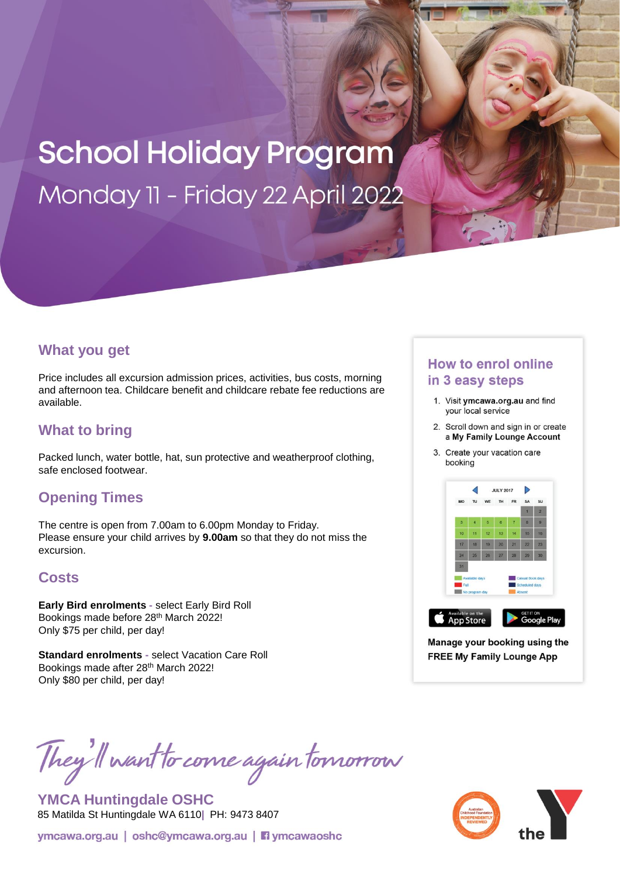# **School Holiday Program** Monday 11 - Friday 22 April 2022

#### **What you get**

Price includes all excursion admission prices, activities, bus costs, morning and afternoon tea. Childcare benefit and childcare rebate fee reductions are available.

## **What to bring**

Packed lunch, water bottle, hat, sun protective and weatherproof clothing, safe enclosed footwear.

### **Opening Times**

The centre is open from 7.00am to 6.00pm Monday to Friday. Please ensure your child arrives by **9.00am** so that they do not miss the excursion.

### **Costs**

**Early Bird enrolments -** select Early Bird Roll Bookings made before 28th March 2022! Only \$75 per child, per day!

**Standard enrolments -** select Vacation Care Roll Bookings made after 28th March 2022! Only \$80 per child, per day!

# They'll want to come again tomorrow

**YMCA Huntingdale OSHC** 85 Matilda St Huntingdale WA 6110**|** PH: 9473 8407



#### **How to enrol online** in 3 easy steps

- 1. Visit ymcawa.org.au and find your local service
- 2. Scroll down and sign in or create a My Family Lounge Account
- 3. Create your vacation care booking



Manage your booking using the **FREE My Family Lounge App**